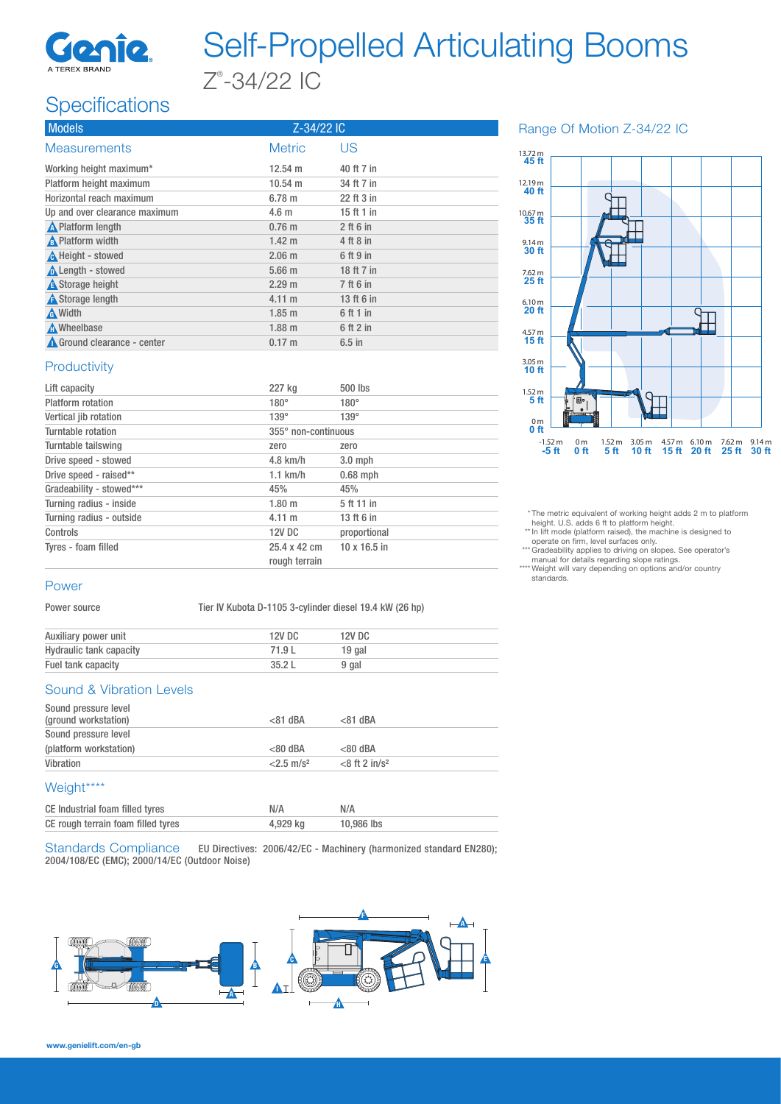

# Self-Propelled Articulating Booms Z® -34/22 IC

## **Specifications**

| <b>Models</b>                 | Z-34/22 IC        |             |
|-------------------------------|-------------------|-------------|
| <b>Measurements</b>           | <b>Metric</b>     | US          |
| Working height maximum*       | $12.54 \text{ m}$ | 40 ft 7 in  |
| Platform height maximum       | $10.54 \text{ m}$ | 34 ft 7 in  |
| Horizontal reach maximum      | 6.78 m            | 22 ft 3 in  |
| Up and over clearance maximum | 4.6 <sub>m</sub>  | 15 ft 1 in  |
| <b>A</b> Platform length      | $0.76$ m          | $2$ ft 6 in |
| <b>A</b> Platform width       | $1.42 \; m$       | 4 ft 8 in   |
| <b>A</b> Height - stowed      | $2.06$ m          | 6 ft 9 in   |
| <b>A</b> Length - stowed      | $5.66$ m          | 18 ft 7 in  |
| <b>A</b> Storage height       | 2.29 m            | 7 ft 6 in   |
| <b>A</b> Storage length       | 4.11 m            | 13 ft 6 in  |
| <b>A</b> Width                | $1.85 \; m$       | 6 ft 1 in   |
| <b>A</b> Wheelbase            | $1.88$ m          | 6 ft 2 in   |
| Ground clearance - center     | $0.17 \text{ m}$  | $6.5$ in    |

#### Range Of Motion Z-34/22 IC



\* The metric equivalent of working height adds 2 m to platform height. U.S. adds 6 ft to platform height.

\*\* In lift mode (platform raised), the machine is designed to operate on firm, level surfaces only. \*\*\* Gradeability applies to driving on slopes. See operator's manual for details regarding slope ratings.

\*\*\*\* Weight will vary depending on options and/or country<br>standards.

### **Productivity**

| Lift capacity            | 227 kg                        | 500 lbs             |  |
|--------------------------|-------------------------------|---------------------|--|
| <b>Platform</b> rotation | $180^\circ$                   | $180^\circ$         |  |
| Vertical jib rotation    | $139^\circ$                   | $139^\circ$         |  |
| Turntable rotation       | 355° non-continuous           |                     |  |
| Turntable tailswing      | zero                          | zero                |  |
| Drive speed - stowed     | $4.8$ km/h                    | $3.0$ mph           |  |
| Drive speed - raised**   | $1.1$ km/h                    | $0.68$ mph          |  |
| Gradeability - stowed*** | 45%                           | 45%                 |  |
| Turning radius - inside  | 1.80 m                        | 5 ft 11 in          |  |
| Turning radius - outside | $4.11 \text{ m}$              | 13 ft 6 in          |  |
| Controls                 | <b>12V DC</b>                 | proportional        |  |
| Tyres - foam filled      | 25.4 x 42 cm<br>rough terrain | $10 \times 16.5$ in |  |
|                          |                               |                     |  |

#### Power

Power source Tier IV Kubota D-1105 3-cylinder diesel 19.4 kW (26 hp)

| Auxiliary power unit    | <b>12V DC</b> | 12V DC |
|-------------------------|---------------|--------|
| Hydraulic tank capacity | 71.9 L        | 19 gal |
| Fuel tank capacity      | 35.2 L        | 9 gal  |

#### Sound & Vibration Levels

| Sound pressure level<br>(ground workstation) | $< 81$ dBA               | $< 81$ dBA                   |  |
|----------------------------------------------|--------------------------|------------------------------|--|
| Sound pressure level                         |                          |                              |  |
| (platform workstation)                       | $< 80$ dBA               | $< 80$ dBA                   |  |
| Vibration                                    | $< 2.5$ m/s <sup>2</sup> | $<$ 8 ft 2 in/s <sup>2</sup> |  |
| Weight****                                   |                          |                              |  |
| CE Industrial foam filled tyres              | N/A                      | N/A                          |  |
| CE rough terrain foam filled tyres           | 4.929 ka                 | 10.986 lbs                   |  |

Standards Compliance EU Directives: 2006/42/EC - Machinery (harmonized standard EN280); 2004/108/EC (EMC); 2000/14/EC (Outdoor Noise)